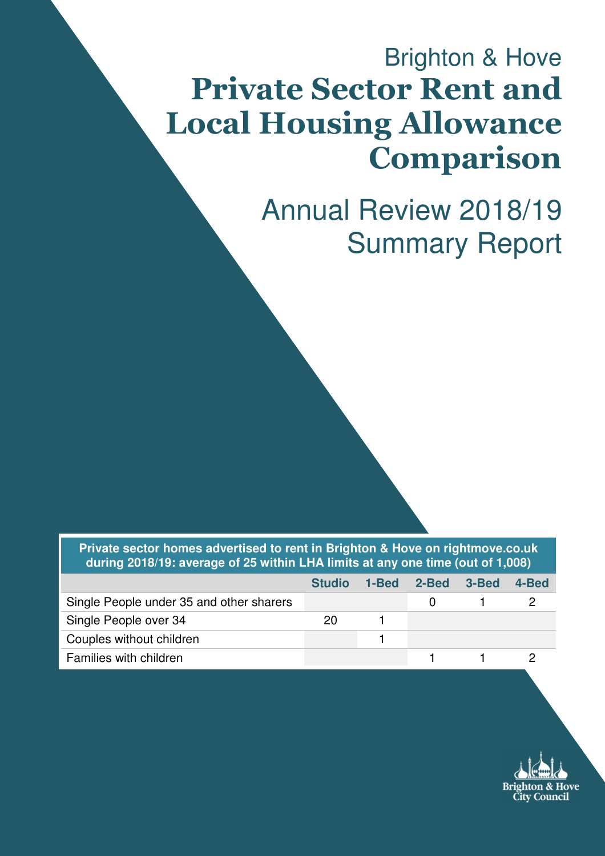# Brighton & Hove Private Sector Rent and Local Housing Allowance Comparison

Annual Review 2018/19 Summary Report

**Private sector homes advertised to rent in Brighton & Hove on rightmove.co.uk during 2018/19: average of 25 within LHA limits at any one time (out of 1,008)** 

|                                          | <b>Studio</b> | 1-Bed | 2-Bed | -3-Bed | 4-Bed |
|------------------------------------------|---------------|-------|-------|--------|-------|
| Single People under 35 and other sharers |               |       |       |        |       |
| Single People over 34                    | 20            |       |       |        |       |
| Couples without children                 |               |       |       |        |       |
| Families with children                   |               |       |       |        |       |

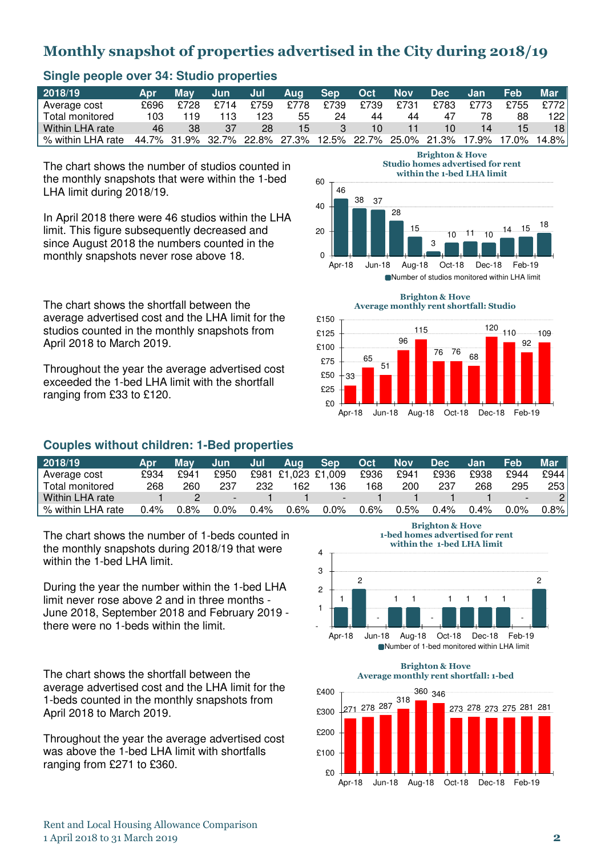# Monthly snapshot of properties advertised in the City during 2018/19

| 2018/19           | Apr  | Mav  | Jun . | Jul - | Aug Sep         |      | Oct  | <b>Nov</b> | <b>Dec</b> | Jan. | Feb                                                               | Mar             |
|-------------------|------|------|-------|-------|-----------------|------|------|------------|------------|------|-------------------------------------------------------------------|-----------------|
| Average cost      | £696 | £728 | £714  | £759  | £778            | £739 | £739 | £731       | £783       | £773 | £755                                                              | £772            |
| Total monitored   | 103  | 119  | 113   | 123   | 55              | 24   | 44   | 44         | 47         | 78   | 88                                                                | 1221            |
| Within LHA rate   | 46   | 38   | 37    | 28    | 15 <sub>1</sub> |      | 10   |            | 10         | 14   | $15 \,$                                                           | 18 <sup>1</sup> |
| % within LHA rate |      |      |       |       |                 |      |      |            |            |      | 44.7% 31.9% 32.7% 22.8% 27.3% 12.5% 22.7% 25.0% 21.3% 17.9% 17.0% | 14.8%l          |

46

33

 $$0$ £25  $F50$ 

 $\Omega$ 

20

40

60

38 37

28

15

#### **Single people over 34: Studio properties**

The chart shows the number of studios counted in the monthly snapshots that were within the 1-bed LHA limit during 2018/19.

In April 2018 there were 46 studios within the LHA limit. This figure subsequently decreased and since August 2018 the numbers counted in the monthly snapshots never rose above 18.

The chart shows the shortfall between the average advertised cost and the LHA limit for the studios counted in the monthly snapshots from April 2018 to March 2019.

Throughout the year the average advertised cost exceeded the 1-bed LHA limit with the shortfall ranging from £33 to £120.

## **Couples without children: 1-Bed properties**

| 2018/19           | <b>Apr</b> | Mav  | <b>Jun</b> | Jul  | Aug                | <b>Sep</b> | <b>Oct</b> | <b>Nov</b> | <b>Dec</b> | Jan     | Feb  | Mar  |
|-------------------|------------|------|------------|------|--------------------|------------|------------|------------|------------|---------|------|------|
| Average cost      | £934       | £941 | £950       |      | £981 £1,023 £1,009 |            | £936       | £941       | £936       | £938    | £944 | £944 |
| Total monitored   | 268        | 260  | 237        | 232  | 162                | 136        | 168        | 200        | 237        | 268     | 295  | 253  |
| Within LHA rate   |            |      |            |      |                    | -          |            |            |            |         |      |      |
| % within LHA rate | $0.4\%$    | 0.8% | $0.0\%$    | 0.4% | 0.6%               | 0.0%       | $0.6\%$    | 0.5%       | 0.4%       | $0.4\%$ | 0.0% | 0.8% |

The chart shows the number of 1-beds counted in the monthly snapshots during 2018/19 that were within the 1-bed LHA limit.

During the year the number within the 1-bed LHA limit never rose above 2 and in three months - June 2018, September 2018 and February 2019 there were no 1-beds within the limit.

The chart shows the shortfall between the average advertised cost and the LHA limit for the 1-beds counted in the monthly snapshots from April 2018 to March 2019.

Throughout the year the average advertised cost was above the 1-bed LHA limit with shortfalls ranging from £271 to £360.

Brighton & Hove 1-bed homes advertised for rent within the 1-bed LHA limit



Brighton & Hove Average monthly rent shortfall: 1-bed





Apr-18 Jun-18 Aug-18 Oct-18 Dec-18 Feb-19

3

Brighton & Hove Studio homes advertised for rent within the 1-bed LHA limit

Apr-18 Jun-18 Aug-18 Oct-18 Dec-18 Feb-19

 $10$  11 10  $14$  15  $18$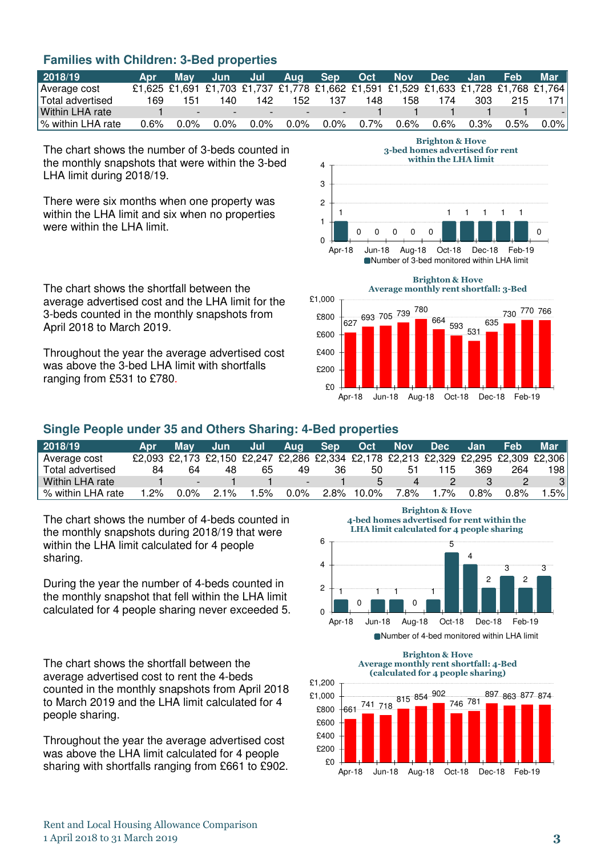# **Families with Children: 3-Bed properties**

| 2018/19            | Apr     |         | May Jun Jul Aug Sep Oct Nov Dec Jan                                                 |                                                             |     |     |            |         |     |           | <b>Feb</b> | Mar                      |
|--------------------|---------|---------|-------------------------------------------------------------------------------------|-------------------------------------------------------------|-----|-----|------------|---------|-----|-----------|------------|--------------------------|
| Average cost       |         |         | £1,625 £1,691 £1,703 £1,737 £1,778 £1,662 £1,591 £1,529 £1,633 £1,728 £1,768 £1,764 |                                                             |     |     |            |         |     |           |            |                          |
| Total advertised   | 169.    | 151     | 140.                                                                                | 142                                                         | 152 | 137 | 148        | 158.    | 174 | 303       | 215        | 171                      |
| Within LHA rate    |         | $-7$    |                                                                                     | the control of the control of the control of the control of |     |     |            |         |     |           |            | $\overline{\phantom{a}}$ |
| ∣% within LHA rate | $0.6\%$ | $0.0\%$ |                                                                                     | 0.0% 0.0% 0.0%                                              |     |     | 0.0%  0.7% | $0.6\%$ |     | 0.6% 0.3% | $0.5\%$    | $0.0\%$                  |

4

The chart shows the number of 3-beds counted in the monthly snapshots that were within the 3-bed LHA limit during 2018/19.

There were six months when one property was within the LHA limit and six when no properties were within the LHA limit.

The chart shows the shortfall between the average advertised cost and the LHA limit for the 3-beds counted in the monthly snapshots from April 2018 to March 2019.

Throughout the year the average advertised cost was above the 3-bed LHA limit with shortfalls ranging from £531 to £780.

#### Brighton & Hove 3-bed homes advertised for rent within the LHA limit



Number of 3-bed monitored within LHA limit



# **Single People under 35 and Others Sharing: 4-Bed properties**

| 2018/19           | <b>Apr</b> | Mav                      | Jun. | Jul | Aua     | <b>Sep</b> | Oct   | <b>Nov</b> | <b>Dec</b> | Jan.    | <b>Feb</b> | Mar                                                                                 |
|-------------------|------------|--------------------------|------|-----|---------|------------|-------|------------|------------|---------|------------|-------------------------------------------------------------------------------------|
| Average cost      |            |                          |      |     |         |            |       |            |            |         |            | £2,093 £2,173 £2,150 £2,247 £2,286 £2,334 £2,178 £2,213 £2,329 £2,295 £2,309 £2,306 |
| Total advertised  | 84         | 64                       | 48   | 65  | 49      | 36         | 50    | b'         | 115        | 369     | 264        | 198 <sub>1</sub>                                                                    |
| Within LHA rate   |            | $\overline{\phantom{0}}$ |      |     |         |            |       |            |            |         |            |                                                                                     |
| % within LHA rate | 2%         | $0.0\%$                  | 21%  | .5% | $0.0\%$ | $2.8\%$    | 10.0% | 7.8%       | $.7\%$     | $0.8\%$ | 0.8%       | .5% l                                                                               |

The chart shows the number of 4-beds counted in the monthly snapshots during 2018/19 that were within the LHA limit calculated for 4 people sharing.

During the year the number of 4-beds counted in the monthly snapshot that fell within the LHA limit calculated for 4 people sharing never exceeded 5.

The chart shows the shortfall between the average advertised cost to rent the 4-beds counted in the monthly snapshots from April 2018 to March 2019 and the LHA limit calculated for 4 people sharing.

Throughout the year the average advertised cost was above the LHA limit calculated for 4 people sharing with shortfalls ranging from £661 to £902.

Brighton & Hove 4-bed homes advertised for rent within the LHA limit calculated for 4 people sharing



Brighton & Hove Average monthly rent shortfall: 4-Bed (calculated for 4 people sharing)



Rent and Local Housing Allowance Comparison 1 April 2018 to 31 March 2019 3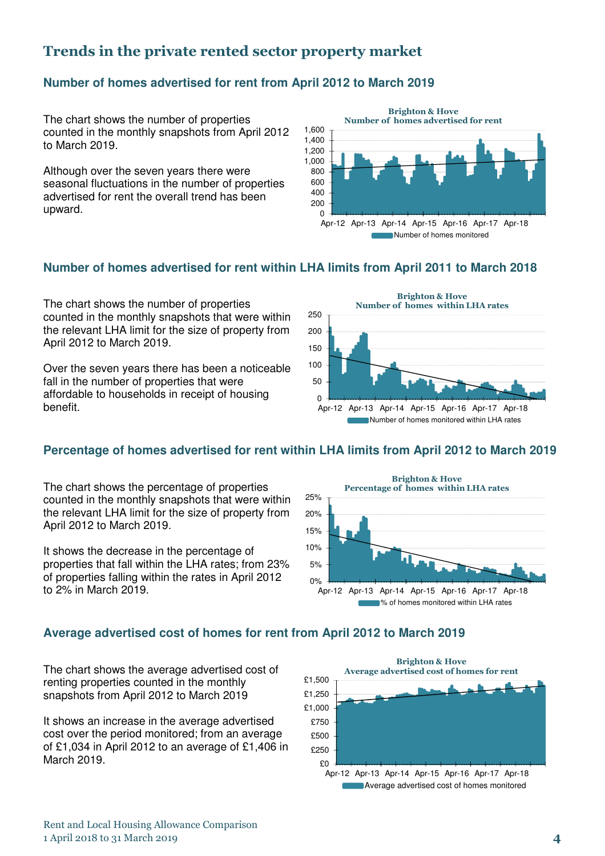# Trends in the private rented sector property market

# **Number of homes advertised for rent from April 2012 to March 2019**

The chart shows the number of properties counted in the monthly snapshots from April 2012 to March 2019.

Although over the seven years there were seasonal fluctuations in the number of properties advertised for rent the overall trend has been upward.



## **Number of homes advertised for rent within LHA limits from April 2011 to March 2018**

The chart shows the number of properties counted in the monthly snapshots that were within the relevant LHA limit for the size of property from April 2012 to March 2019.

Over the seven years there has been a noticeable fall in the number of properties that were affordable to households in receipt of housing benefit.



# **Percentage of homes advertised for rent within LHA limits from April 2012 to March 2019**

The chart shows the percentage of properties counted in the monthly snapshots that were within the relevant LHA limit for the size of property from April 2012 to March 2019.

It shows the decrease in the percentage of properties that fall within the LHA rates; from 23% of properties falling within the rates in April 2012 to 2% in March 2019.



## **Average advertised cost of homes for rent from April 2012 to March 2019**

The chart shows the average advertised cost of renting properties counted in the monthly snapshots from April 2012 to March 2019

It shows an increase in the average advertised cost over the period monitored; from an average of £1,034 in April 2012 to an average of £1,406 in March 2019.



**Average advertised cost of homes monitored**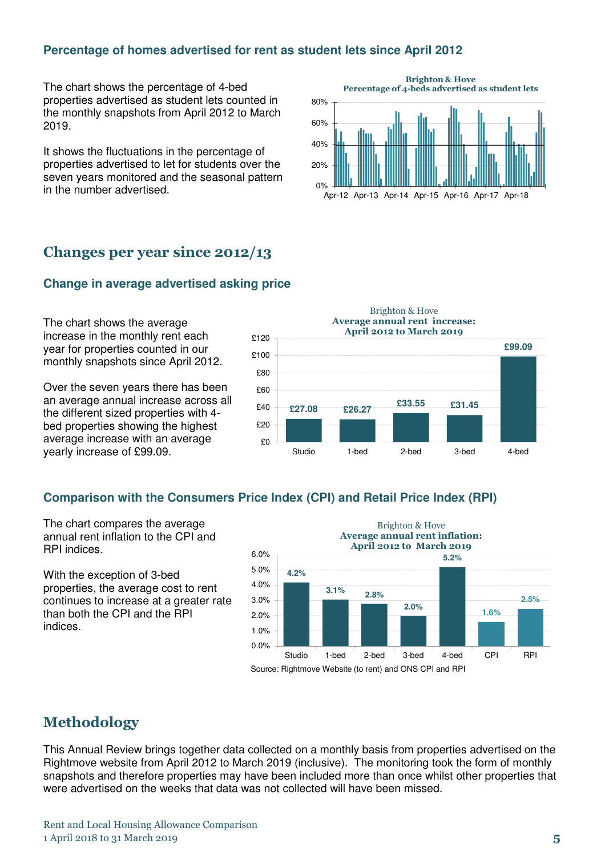## **Percentage of homes advertised for rent as student lets since April 2012**

The chart shows the percentage of 4-bed properties advertised as student lets counted in the monthly snapshots from April 2012 to March 2019.

It shows the fluctuations in the percentage of properties advertised to let for students over the seven years monitored and the seasonal pattern in the number advertised.



# Changes per year since 2012/13

#### **Change in average advertised asking price**

The chart shows the average increase in the monthly rent each year for properties counted in our monthly snapshots since April 2012.

Over the seven years there has been an average annual increase across all the different sized properties with 4 bed properties showing the highest average increase with an average yearly increase of £99.09.

**£27.08 £26.27 £33.55 £31.45 £99.09** £0 £20 £40  $R_{60}$ £80 £100 £120 Studio 1-bed 2-bed 3-bed 4-bed April 2012 to March 2019

#### Brighton & Hove Average annual rent increase:

#### **Comparison with the Consumers Price Index (CPI) and Retail Price Index (RPI)**

The chart compares the average annual rent inflation to the CPI and RPI indices.

With the exception of 3-bed properties, the average cost to rent continues to increase at a greater rate than both the CPI and the RPI indices.



# Methodology

This Annual Review brings together data collected on a monthly basis from properties advertised on the Rightmove website from April 2012 to March 2019 (inclusive). The monitoring took the form of monthly snapshots and therefore properties may have been included more than once whilst other properties that were advertised on the weeks that data was not collected will have been missed.